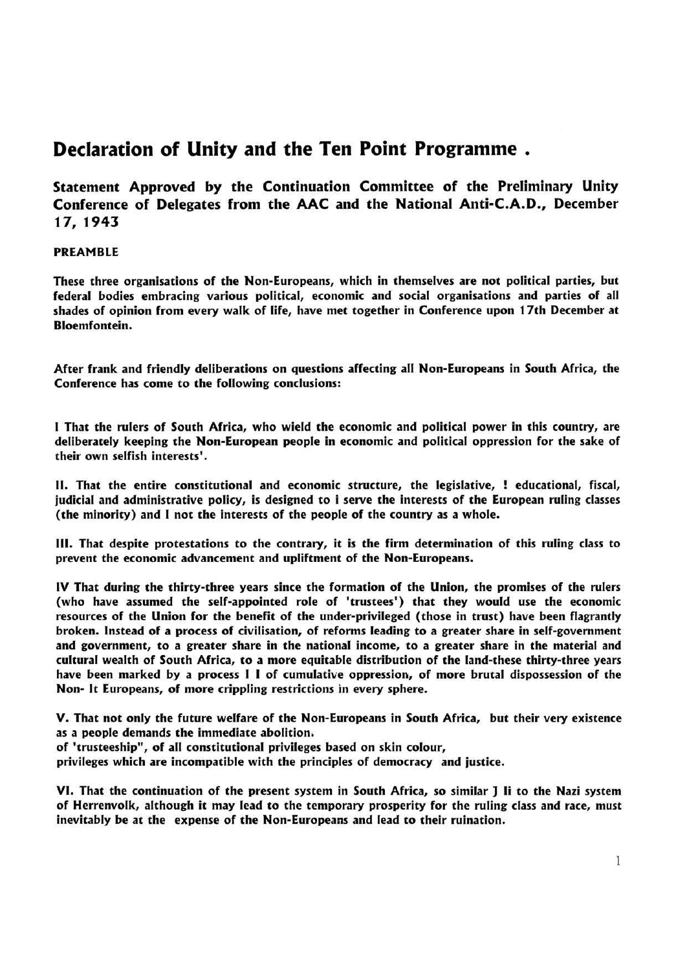## **Declaration of Unity and the Ten Point Programme .**

**Statement Approved by the Continuation Committee of the Preliminary Unity Conference of Delegates from the AAC and the National Anti-C.A.D., December 17, 1943** 

## **PREAMBLE**

**These three organisations of the Non-Europeans, which in themselves are not political parties, but federal bodies embracing various political, economic and social organisations and parties of all shades of opinion from every walk of life, have met together in Conference upon 17th December at Bloemfontein.** 

**After frank and friendly deliberations on questions affecting all Non-Europeans in South Africa, the Conference has come to the following conclusions:** 

**I That the rulers of South Africa, who wield the economic and political power in this country, are deliberately keeping the Non-European people in economic and political oppression for the sake of their own selfish interests'.** 

**II. That the entire constitutional and economic structure, the legislative, ! educational, fiscal, judicial and administrative policy, is designed to i serve the interests of the European ruling classes (the minority) and I not the interests of the people of the country as a whole.** 

**III. That despite protestations to the contrary, it is the firm determination of this ruling class to prevent the economic advancement and upliftment of the Non-Europeans.** 

**IV That during the thirty-three years since the formation of the Union, the promises of the rulers (who have assumed the self-appointed role of 'trustees') that they would use the economic resources of the Union for the benefit of the under-privileged (those in trust) have been flagrantly broken. Instead of a process of civilisation, of reforms leading to a greater share in self-government and government, to a greater share in the national income, to a greater share in the material and cultural wealth of South Africa, to a more equitable distribution of the Iand-these thirty-three years have been marked by a process I I of cumulative oppression, of more brutal dispossession of the Non- It Europeans, of more crippling restrictions in every sphere.** 

**V. That not only the future welfare of the Non-Europeans in South Africa, but their very existence as a people demands the immediate abolition.** 

**of 'trusteeship", of all constitutional privileges based on skin colour,** 

**privileges which are incompatible with the principles of democracy and justice.** 

**VI. That the continuation of the present system in South Africa, so similar ] li to the Nazi system of Herrenvolk, although it may lead to the temporary prosperity for the ruling class and race, must inevitably be at the expense of the Non-Europeans and lead to their ruination.**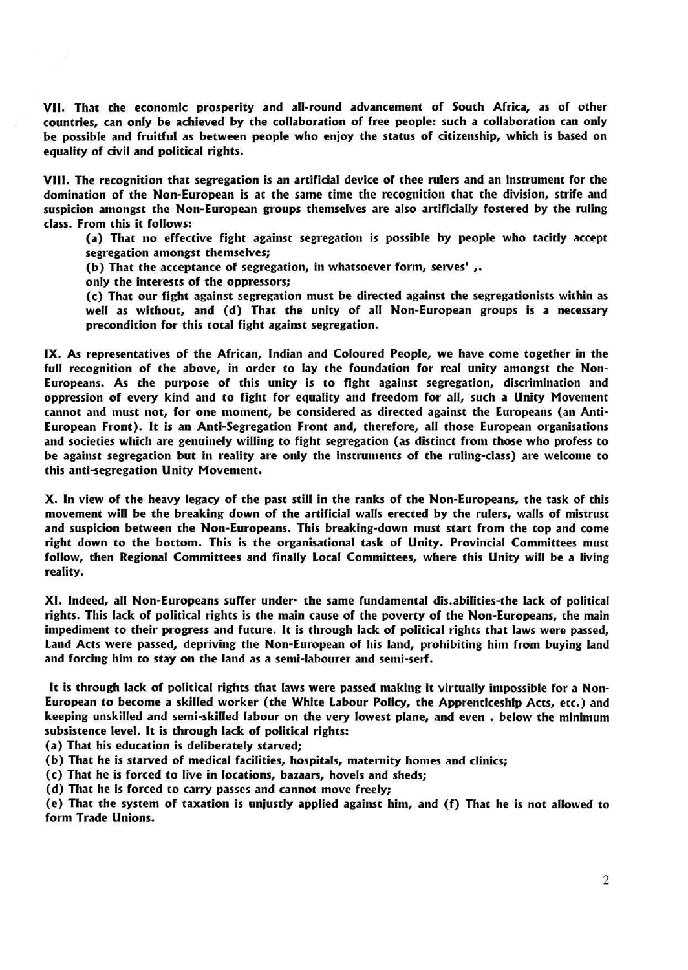**VII. That the economic prosperity and all-round advancement of South Africa, as of other countries, can only be achieved by the collaboration of free people: such a collaboration can only be possible and fruitful as between people who enjoy the status of citizenship, which is based on equality of civil and political rights.** 

**VIII. The recognition that segregation is an artificial device of thee rulers and an instrument for the domination of the Non-European is at the same time the recognition that the division, strife and suspicion amongst the Non-European groups themselves are also artificially fostered by the ruling class. From this it follows:** 

**(a) That no effective fight against segregation is possible by people who tacitly accept segregation amongst themselves;** 

**(b) That the acceptance of segregation, in whatsoever form, serves<sup>1</sup> ,.** 

**only the interests of the oppressors;** 

**(c) That our fight against segregation must be directed against the segregationists within as well as without, and (d) That the unity of all Non-European groups is a necessary precondition for this total fight against segregation.** 

**IX. As representatives of the African, Indian and Coloured People, we have come together in the full recognition of the above, in order to lay the foundation for real unity amongst the Non-Europeans. As the purpose of this unity is to fight against segregation, discrimination and oppression of every kind and to fight for equality and freedom for all, such a Unity Movement cannot and must not, for one moment, be considered as directed against the Europeans (an Anti-European Front). It is an Anti-Segregation Front and, therefore, all those European organisations and societies which are genuinely willing to fight segregation (as distinct from those who profess to be against segregation but in reality are only the instruments of the ruling-class) are welcome to this anti-segregation Unity Movement.** 

**X. In view of the heavy legacy of the past still in the ranks of the Non-Europeans, the task of this movement will be the breaking down of the artificial walls erected by the rulers, walls of mistrust and suspicion between the Non-Europeans. This breaking-down must start from the top and come right down to the bottom. This is the organisational task of Unity. Provincial Committees must follow, then Regional Committees and finally Local Committees, where this Unity will be a living reality.** 

**XL Indeed, all Non-Europeans suffer under\* the same fundamental dis.abilities-the lack of political rights. This lack of political rights is the main cause of the poverty of the Non-Europeans, the main impediment to their progress and future. It is through lack of political rights that laws were passed, Land Acts were passed, depriving the Non-European of his land, prohibiting him from buying land and forcing him to stay on the land as a semi-labourer and semi-serf.** 

**It is through lack of political rights that laws were passed making it virtually impossible for a Non-European to become a skilled worker (the White Labour Policy, the Apprenticeship Acts, etc.) and keeping unskilled and semi-skilled labour on the very lowest plane, and even • below the minimum subsistence level. It is through lack of political rights:** 

**(a) That his education is deliberately starved;** 

**(b) That he is starved of medical facilities, hospitals, maternity homes and clinics;** 

**(c) That he is forced to live in locations, bazaars, hovels and sheds;** 

**(d) That he is forced to carry passes and cannot move freely;** 

**(e) That the system of taxation is unjustly applied against him, and (f) That he is not allowed to form Trade Unions.**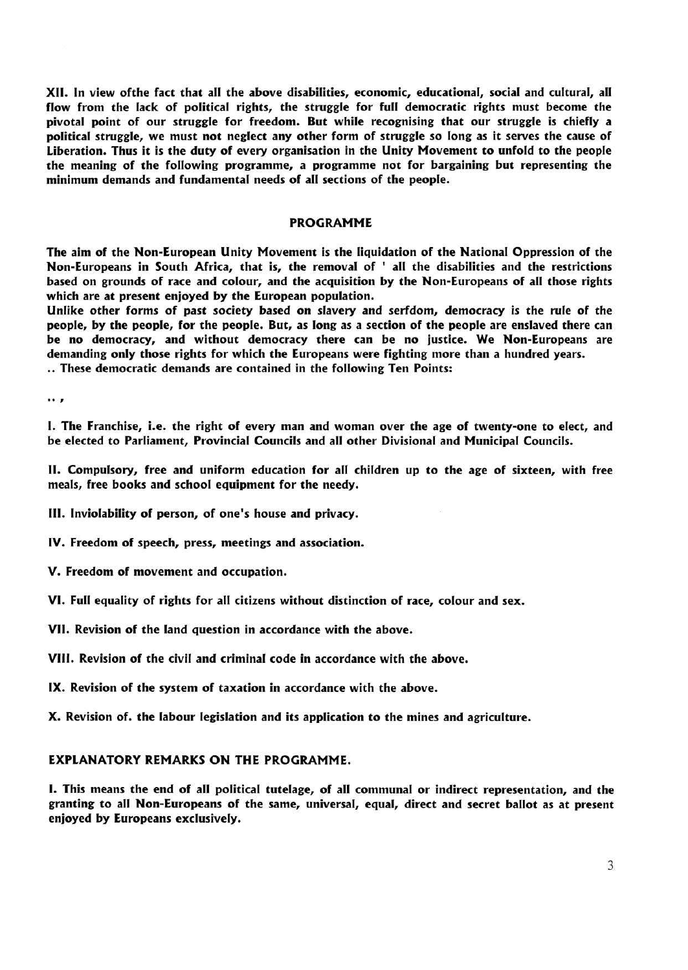**XII. In view of the fact that all the above disabilities, economic, educational, social and cultural, all flow from the lack of political rights, the struggle for full democratic rights must become the pivotal point of our struggle for freedom. But while recognising that our struggle is chiefly a political struggle, we must not neglect any other form of struggle so long as it serves the cause of Liberation. Thus it is the duty of every organisation in the Unity Movement to unfold to the people the meaning of the following programme, a programme not for bargaining but representing the minimum demands and fundamental needs of all sections of the people.** 

## **PROGRAMME**

**The aim of the Non-European Unity Movement is the liquidation of the National Oppression of the Non-Europeans in South Africa, that is, the removal of ' all the disabilities and the restrictions based on grounds of race and colour, and the acquisition by the Non-Europeans of all those rights which are at present enjoyed by the European population.** 

**Unlike other forms of past society based on slavery and serfdom, democracy is the rule of the people, by the people, for the people. But, as long as a section of the people are enslaved there can be no democracy, and without democracy there can be no justice. We Non-Europeans are demanding only those rights for which the Europeans were fighting more than a hundred years.** 

**.. These democratic demands are contained in the following Ten Points:** 

.. ,

**I. The Franchise, i.e. the right of every man and woman over the age of twenty-one to elect, and be elected to Parliament, Provincial Councils and all other Divisional and Municipal Councils.** 

**II. Compulsory, free and uniform education for all children up to the age of sixteen, with free meals, free books and school equipment for the needy.** 

**III. Inviolability of person, of one's house and privacy.** 

**IV. Freedom of speech, press, meetings and association.** 

**V. Freedom of movement and occupation.** 

**VI. Full equality of rights for all citizens without distinction of race, colour and sex.** 

**VII. Revision of the land question in accordance with the above.** 

**VIII. Revision of the civil and criminal code in accordance with the above.** 

**IX. Revision of the system of taxation in accordance with the above.** 

**X. Revision of. the labour legislation and its application to the mines and agriculture.** 

## **EXPLANATORY REMARKS ON THE PROGRAMME.**

**I. This means the end of all political tutelage, of all communal or indirect representation, and the granting to all Non-Europeans of the same, universal, equal, direct and secret ballot as at present enjoyed by Europeans exclusively.**